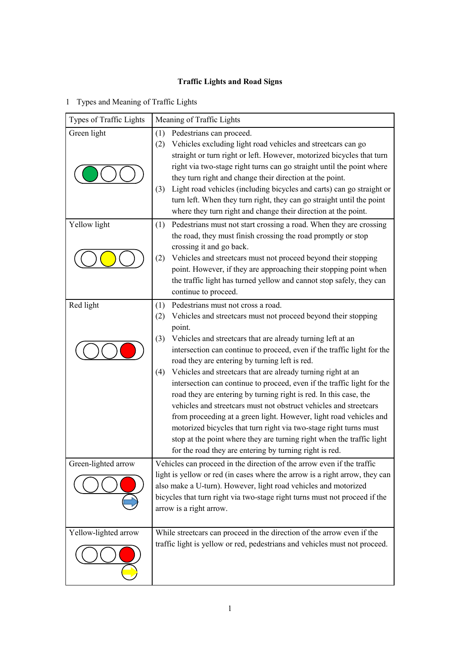## **Traffic Lights and Road Signs**

## 1 Types and Meaning of Traffic Lights

| Types of Traffic Lights | Meaning of Traffic Lights                                                                                                                                                                                                                                                                                                                                                                                                                                                                                                                                                                                                                                                                                                                                                                                                                                                                                  |  |
|-------------------------|------------------------------------------------------------------------------------------------------------------------------------------------------------------------------------------------------------------------------------------------------------------------------------------------------------------------------------------------------------------------------------------------------------------------------------------------------------------------------------------------------------------------------------------------------------------------------------------------------------------------------------------------------------------------------------------------------------------------------------------------------------------------------------------------------------------------------------------------------------------------------------------------------------|--|
| Green light             | Pedestrians can proceed.<br>(1)<br>Vehicles excluding light road vehicles and streetcars can go<br>(2)<br>straight or turn right or left. However, motorized bicycles that turn<br>right via two-stage right turns can go straight until the point where<br>they turn right and change their direction at the point.<br>Light road vehicles (including bicycles and carts) can go straight or<br>(3)<br>turn left. When they turn right, they can go straight until the point<br>where they turn right and change their direction at the point.                                                                                                                                                                                                                                                                                                                                                            |  |
| Yellow light            | Pedestrians must not start crossing a road. When they are crossing<br>(1)<br>the road, they must finish crossing the road promptly or stop<br>crossing it and go back.<br>(2)<br>Vehicles and streetcars must not proceed beyond their stopping<br>point. However, if they are approaching their stopping point when<br>the traffic light has turned yellow and cannot stop safely, they can<br>continue to proceed.                                                                                                                                                                                                                                                                                                                                                                                                                                                                                       |  |
| Red light               | Pedestrians must not cross a road.<br>(1)<br>Vehicles and streetcars must not proceed beyond their stopping<br>(2)<br>point.<br>(3)<br>Vehicles and streetcars that are already turning left at an<br>intersection can continue to proceed, even if the traffic light for the<br>road they are entering by turning left is red.<br>Vehicles and streetcars that are already turning right at an<br>(4)<br>intersection can continue to proceed, even if the traffic light for the<br>road they are entering by turning right is red. In this case, the<br>vehicles and streetcars must not obstruct vehicles and streetcars<br>from proceeding at a green light. However, light road vehicles and<br>motorized bicycles that turn right via two-stage right turns must<br>stop at the point where they are turning right when the traffic light<br>for the road they are entering by turning right is red. |  |
| Green-lighted arrow     | Vehicles can proceed in the direction of the arrow even if the traffic<br>light is yellow or red (in cases where the arrow is a right arrow, they can<br>also make a U-turn). However, light road vehicles and motorized<br>bicycles that turn right via two-stage right turns must not proceed if the<br>arrow is a right arrow.                                                                                                                                                                                                                                                                                                                                                                                                                                                                                                                                                                          |  |
| Yellow-lighted arrow    | While streetcars can proceed in the direction of the arrow even if the<br>traffic light is yellow or red, pedestrians and vehicles must not proceed.                                                                                                                                                                                                                                                                                                                                                                                                                                                                                                                                                                                                                                                                                                                                                       |  |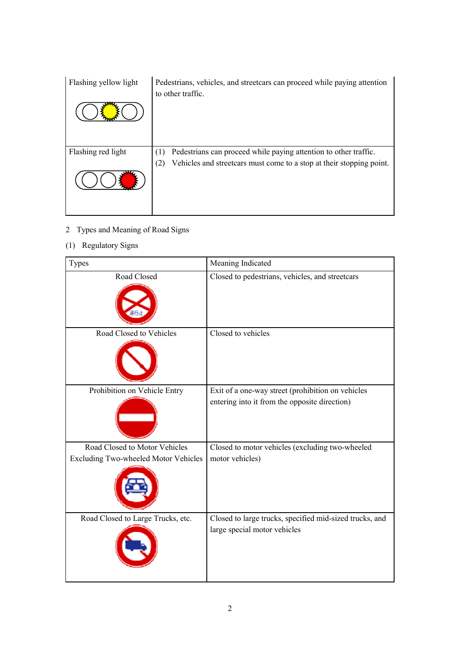| Flashing yellow light | Pedestrians, vehicles, and streetcars can proceed while paying attention<br>to other traffic. |
|-----------------------|-----------------------------------------------------------------------------------------------|
|                       |                                                                                               |
|                       |                                                                                               |
| Flashing red light    | Pedestrians can proceed while paying attention to other traffic.                              |
|                       | Vehicles and streetcars must come to a stop at their stopping point.<br>(2)                   |
|                       |                                                                                               |
|                       |                                                                                               |

- 2 Types and Meaning of Road Signs
- (1) Regulatory Signs

| Types                                       | Meaning Indicated                                                                                  |
|---------------------------------------------|----------------------------------------------------------------------------------------------------|
| Road Closed                                 | Closed to pedestrians, vehicles, and streetcars                                                    |
| Road Closed to Vehicles                     | Closed to vehicles                                                                                 |
| Prohibition on Vehicle Entry                | Exit of a one-way street (prohibition on vehicles<br>entering into it from the opposite direction) |
| Road Closed to Motor Vehicles               | Closed to motor vehicles (excluding two-wheeled                                                    |
| <b>Excluding Two-wheeled Motor Vehicles</b> | motor vehicles)                                                                                    |
| Road Closed to Large Trucks, etc.           | Closed to large trucks, specified mid-sized trucks, and<br>large special motor vehicles            |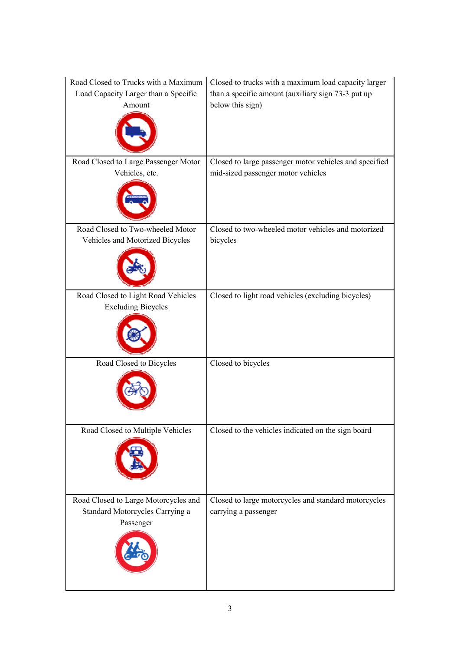| Road Closed to Trucks with a Maximum<br>Load Capacity Larger than a Specific<br>Amount | Closed to trucks with a maximum load capacity larger<br>than a specific amount (auxiliary sign 73-3 put up<br>below this sign) |
|----------------------------------------------------------------------------------------|--------------------------------------------------------------------------------------------------------------------------------|
| Road Closed to Large Passenger Motor<br>Vehicles, etc.                                 | Closed to large passenger motor vehicles and specified<br>mid-sized passenger motor vehicles                                   |
| Road Closed to Two-wheeled Motor<br>Vehicles and Motorized Bicycles                    | Closed to two-wheeled motor vehicles and motorized<br>bicycles                                                                 |
| Road Closed to Light Road Vehicles<br><b>Excluding Bicycles</b>                        | Closed to light road vehicles (excluding bicycles)                                                                             |
| Road Closed to Bicycles                                                                | Closed to bicycles                                                                                                             |
| Road Closed to Multiple Vehicles                                                       | Closed to the vehicles indicated on the sign board                                                                             |
| Road Closed to Large Motorcycles and<br>Standard Motorcycles Carrying a<br>Passenger   | Closed to large motorcycles and standard motorcycles<br>carrying a passenger                                                   |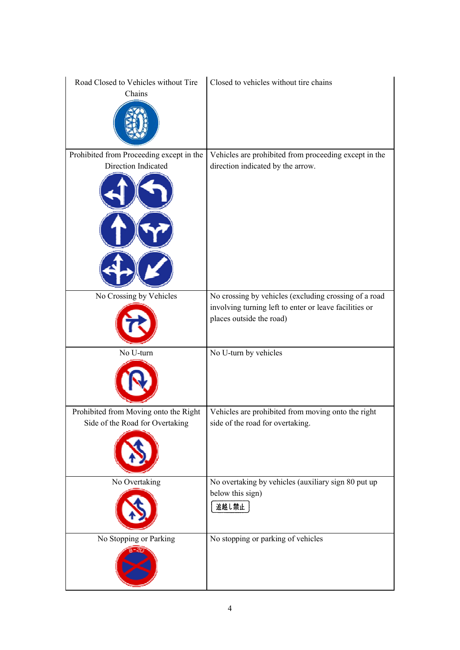| Road Closed to Vehicles without Tire<br>Chains                           | Closed to vehicles without tire chains                                                                                                      |
|--------------------------------------------------------------------------|---------------------------------------------------------------------------------------------------------------------------------------------|
| Prohibited from Proceeding except in the<br>Direction Indicated          | Vehicles are prohibited from proceeding except in the<br>direction indicated by the arrow.                                                  |
| No Crossing by Vehicles                                                  | No crossing by vehicles (excluding crossing of a road<br>involving turning left to enter or leave facilities or<br>places outside the road) |
| No U-turn                                                                | No U-turn by vehicles                                                                                                                       |
| Prohibited from Moving onto the Right<br>Side of the Road for Overtaking | Vehicles are prohibited from moving onto the right<br>side of the road for overtaking.                                                      |
| No Overtaking                                                            | No overtaking by vehicles (auxiliary sign 80 put up<br>below this sign)<br>追越し禁止                                                            |
| No Stopping or Parking                                                   | No stopping or parking of vehicles                                                                                                          |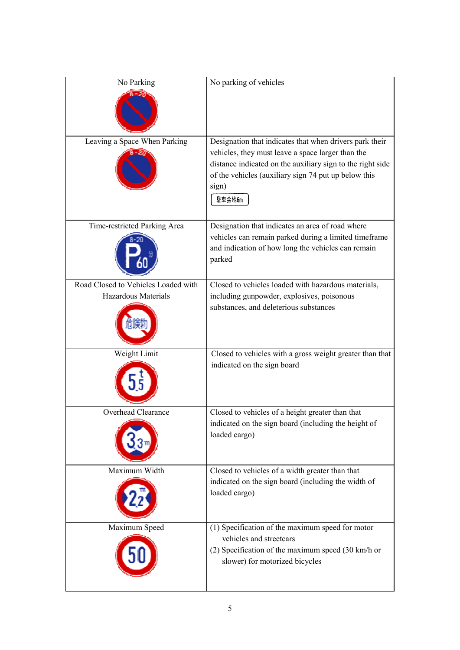| No Parking                          | No parking of vehicles                                                                                                                                                                                                                                |
|-------------------------------------|-------------------------------------------------------------------------------------------------------------------------------------------------------------------------------------------------------------------------------------------------------|
| Leaving a Space When Parking        | Designation that indicates that when drivers park their<br>vehicles, they must leave a space larger than the<br>distance indicated on the auxiliary sign to the right side<br>of the vehicles (auxiliary sign 74 put up below this<br>sign)<br>駐車余地6m |
| Time-restricted Parking Area        | Designation that indicates an area of road where<br>vehicles can remain parked during a limited timeframe<br>and indication of how long the vehicles can remain<br>parked                                                                             |
| Road Closed to Vehicles Loaded with | Closed to vehicles loaded with hazardous materials,                                                                                                                                                                                                   |
| Hazardous Materials                 | including gunpowder, explosives, poisonous<br>substances, and deleterious substances                                                                                                                                                                  |
| Weight Limit                        | Closed to vehicles with a gross weight greater than that<br>indicated on the sign board                                                                                                                                                               |
| Overhead Clearance                  | Closed to vehicles of a height greater than that<br>indicated on the sign board (including the height of<br>loaded cargo)                                                                                                                             |
| Maximum Width                       | Closed to vehicles of a width greater than that<br>indicated on the sign board (including the width of<br>loaded cargo)                                                                                                                               |
| Maximum Speed                       | (1) Specification of the maximum speed for motor<br>vehicles and streetcars<br>(2) Specification of the maximum speed (30 km/h or<br>slower) for motorized bicycles                                                                                   |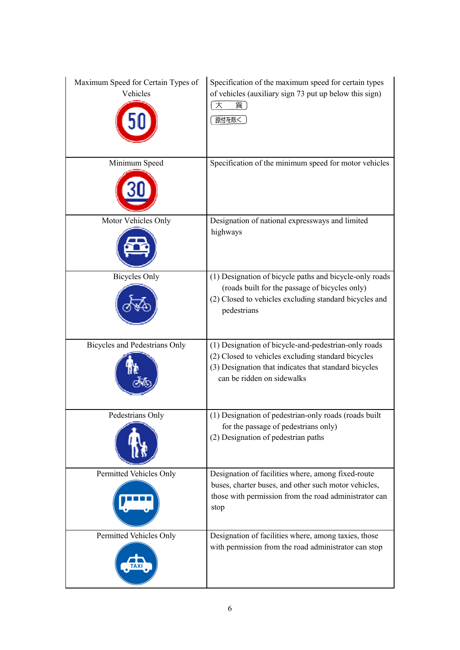| Maximum Speed for Certain Types of<br>Vehicles | Specification of the maximum speed for certain types<br>of vehicles (auxiliary sign 73 put up below this sign)<br>大<br>貨<br>原付を除く                                                                 |
|------------------------------------------------|---------------------------------------------------------------------------------------------------------------------------------------------------------------------------------------------------|
| Minimum Speed                                  | Specification of the minimum speed for motor vehicles                                                                                                                                             |
| Motor Vehicles Only                            | Designation of national expressways and limited<br>highways                                                                                                                                       |
| <b>Bicycles Only</b>                           | (1) Designation of bicycle paths and bicycle-only roads<br>(roads built for the passage of bicycles only)<br>(2) Closed to vehicles excluding standard bicycles and<br>pedestrians                |
| <b>Bicycles and Pedestrians Only</b>           | (1) Designation of bicycle-and-pedestrian-only roads<br>(2) Closed to vehicles excluding standard bicycles<br>(3) Designation that indicates that standard bicycles<br>can be ridden on sidewalks |
| Pedestrians Only                               | (1) Designation of pedestrian-only roads (roads built<br>for the passage of pedestrians only)<br>(2) Designation of pedestrian paths                                                              |
| Permitted Vehicles Only                        | Designation of facilities where, among fixed-route<br>buses, charter buses, and other such motor vehicles,<br>those with permission from the road administrator can<br>stop                       |
| Permitted Vehicles Only                        | Designation of facilities where, among taxies, those<br>with permission from the road administrator can stop                                                                                      |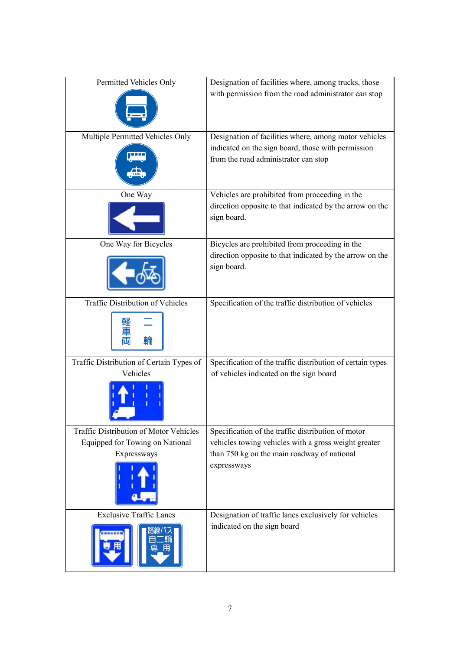| Permitted Vehicles Only                         | Designation of facilities where, among trucks, those<br>with permission from the road administrator can stop                                        |
|-------------------------------------------------|-----------------------------------------------------------------------------------------------------------------------------------------------------|
| Multiple Permitted Vehicles Only<br><b>TAXI</b> | Designation of facilities where, among motor vehicles<br>indicated on the sign board, those with permission<br>from the road administrator can stop |
| One Way                                         | Vehicles are prohibited from proceeding in the<br>direction opposite to that indicated by the arrow on the<br>sign board.                           |
| One Way for Bicycles                            | Bicycles are prohibited from proceeding in the<br>direction opposite to that indicated by the arrow on the<br>sign board.                           |
| Traffic Distribution of Vehicles                | Specification of the traffic distribution of vehicles                                                                                               |
| Traffic Distribution of Certain Types of        | Specification of the traffic distribution of certain types                                                                                          |
| Vehicles                                        | of vehicles indicated on the sign board                                                                                                             |
| Traffic Distribution of Motor Vehicles          | Specification of the traffic distribution of motor                                                                                                  |
| Equipped for Towing on National                 | vehicles towing vehicles with a gross weight greater                                                                                                |
| Expressways                                     | than 750 kg on the main roadway of national<br>expressways                                                                                          |
| <b>Exclusive Traffic Lanes</b>                  | Designation of traffic lanes exclusively for vehicles                                                                                               |
|                                                 | indicated on the sign board                                                                                                                         |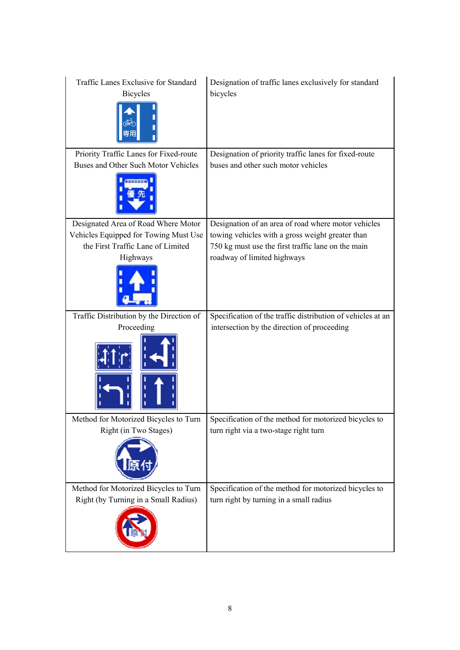| Traffic Lanes Exclusive for Standard<br><b>Bicycles</b> | Designation of traffic lanes exclusively for standard<br>bicycles |
|---------------------------------------------------------|-------------------------------------------------------------------|
| Priority Traffic Lanes for Fixed-route                  | Designation of priority traffic lanes for fixed-route             |
| Buses and Other Such Motor Vehicles                     | buses and other such motor vehicles                               |
|                                                         |                                                                   |
| Designated Area of Road Where Motor                     | Designation of an area of road where motor vehicles               |
| Vehicles Equipped for Towing Must Use                   | towing vehicles with a gross weight greater than                  |
| the First Traffic Lane of Limited                       | 750 kg must use the first traffic lane on the main                |
| Highways                                                | roadway of limited highways                                       |
|                                                         |                                                                   |
| Traffic Distribution by the Direction of                | Specification of the traffic distribution of vehicles at an       |
| Proceeding                                              | intersection by the direction of proceeding                       |
|                                                         |                                                                   |
| Method for Motorized Bicycles to Turn                   | Specification of the method for motorized bicycles to             |
| Right (in Two Stages)                                   | turn right via a two-stage right turn                             |
|                                                         |                                                                   |
| Method for Motorized Bicycles to Turn                   | Specification of the method for motorized bicycles to             |
| Right (by Turning in a Small Radius)                    | turn right by turning in a small radius                           |
|                                                         |                                                                   |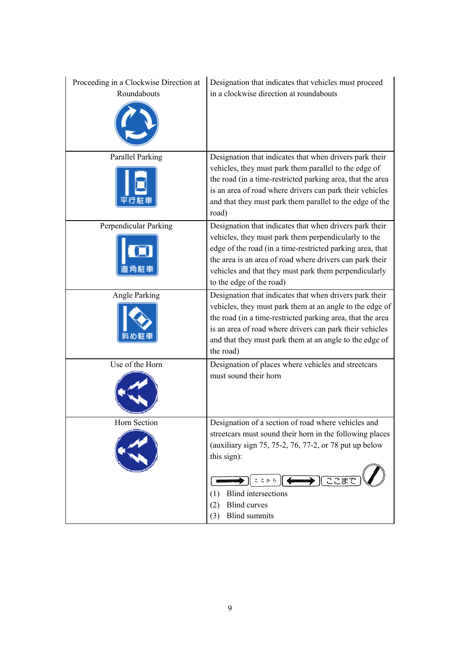| Proceeding in a Clockwise Direction at<br>Roundabouts | Designation that indicates that vehicles must proceed<br>in a clockwise direction at roundabouts                                                                                                                                                                                                                              |
|-------------------------------------------------------|-------------------------------------------------------------------------------------------------------------------------------------------------------------------------------------------------------------------------------------------------------------------------------------------------------------------------------|
| <b>Parallel Parking</b>                               | Designation that indicates that when drivers park their<br>vehicles, they must park them parallel to the edge of<br>the road (in a time-restricted parking area, that the area<br>is an area of road where drivers can park their vehicles<br>and that they must park them parallel to the edge of the<br>road)               |
| Perpendicular Parking                                 | Designation that indicates that when drivers park their<br>vehicles, they must park them perpendicularly to the<br>edge of the road (in a time-restricted parking area, that<br>the area is an area of road where drivers can park their<br>vehicles and that they must park them perpendicularly<br>to the edge of the road) |
| Angle Parking                                         | Designation that indicates that when drivers park their<br>vehicles, they must park them at an angle to the edge of<br>the road (in a time-restricted parking area, that the area<br>is an area of road where drivers can park their vehicles<br>and that they must park them at an angle to the edge of<br>the road)         |
| Use of the Horn                                       | Designation of places where vehicles and streetcars<br>must sound their horn                                                                                                                                                                                                                                                  |
| Horn Section                                          | Designation of a section of road where vehicles and<br>streetcars must sound their horn in the following places<br>(auxiliary sign 75, 75-2, 76, 77-2, or 78 put up below<br>this sign):<br>→ । ここま<br>ここかち<br><b>Blind</b> intersections<br>(1)<br><b>Blind</b> curves<br>(2)<br><b>Blind</b> summits<br>(3)                 |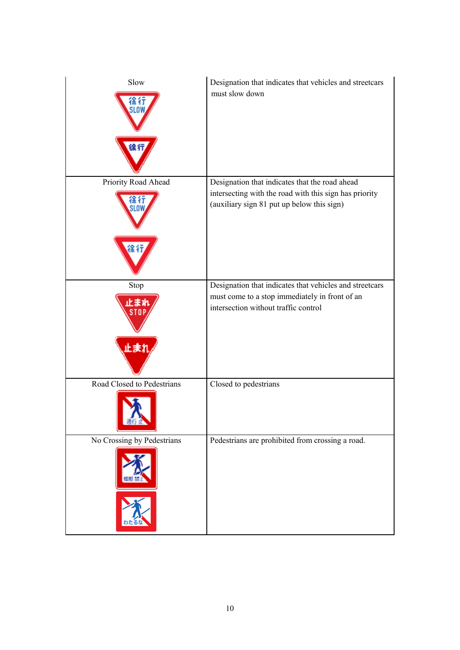| Slow                              | Designation that indicates that vehicles and streetcars<br>must slow down                                                                              |
|-----------------------------------|--------------------------------------------------------------------------------------------------------------------------------------------------------|
| Priority Road Ahead               | Designation that indicates that the road ahead<br>intersecting with the road with this sign has priority<br>(auxiliary sign 81 put up below this sign) |
| Stop<br>化重化<br>止まれ                | Designation that indicates that vehicles and streetcars<br>must come to a stop immediately in front of an<br>intersection without traffic control      |
| Road Closed to Pedestrians<br>強行的 | Closed to pedestrians                                                                                                                                  |
| No Crossing by Pedestrians        | Pedestrians are prohibited from crossing a road.                                                                                                       |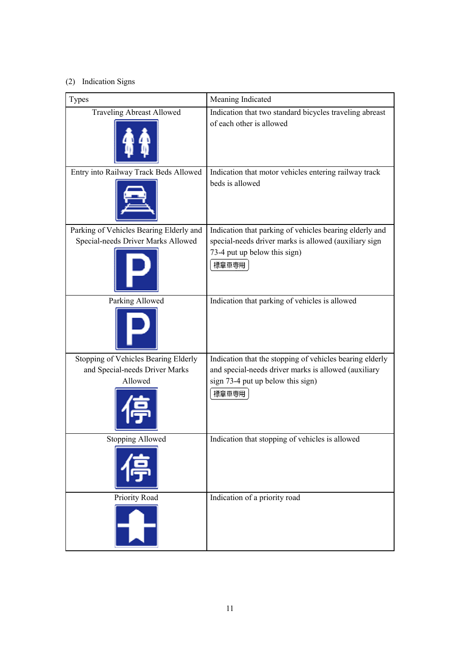## (2) Indication Signs

| Types                                   | Meaning Indicated                                                        |
|-----------------------------------------|--------------------------------------------------------------------------|
| <b>Traveling Abreast Allowed</b>        | Indication that two standard bicycles traveling abreast                  |
|                                         | of each other is allowed                                                 |
| Entry into Railway Track Beds Allowed   | Indication that motor vehicles entering railway track<br>beds is allowed |
| Parking of Vehicles Bearing Elderly and | Indication that parking of vehicles bearing elderly and                  |
| Special-needs Driver Marks Allowed      | special-needs driver marks is allowed (auxiliary sign                    |
|                                         | 73-4 put up below this sign)<br>標章車専用                                    |
| Parking Allowed                         | Indication that parking of vehicles is allowed                           |
|                                         |                                                                          |
| Stopping of Vehicles Bearing Elderly    | Indication that the stopping of vehicles bearing elderly                 |
| and Special-needs Driver Marks          | and special-needs driver marks is allowed (auxiliary                     |
| Allowed                                 | sign 73-4 put up below this sign)                                        |
|                                         | 標章車専用                                                                    |
| <b>Stopping Allowed</b>                 | Indication that stopping of vehicles is allowed                          |
|                                         |                                                                          |
| Priority Road                           | Indication of a priority road                                            |
|                                         |                                                                          |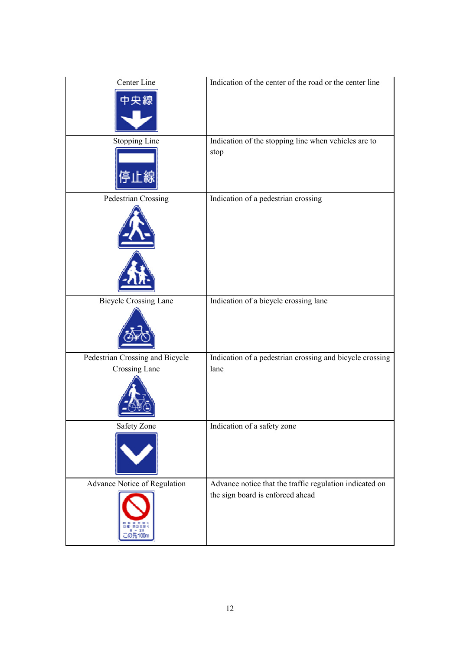| Center Line<br>中線                                | Indication of the center of the road or the center line                                     |
|--------------------------------------------------|---------------------------------------------------------------------------------------------|
| Stopping Line                                    | Indication of the stopping line when vehicles are to<br>stop                                |
| Pedestrian Crossing                              | Indication of a pedestrian crossing                                                         |
| <b>Bicycle Crossing Lane</b>                     | Indication of a bicycle crossing lane                                                       |
| Pedestrian Crossing and Bicycle<br>Crossing Lane | Indication of a pedestrian crossing and bicycle crossing<br>lane                            |
| <b>Safety Zone</b>                               | Indication of a safety zone                                                                 |
| Advance Notice of Regulation<br>の先100            | Advance notice that the traffic regulation indicated on<br>the sign board is enforced ahead |